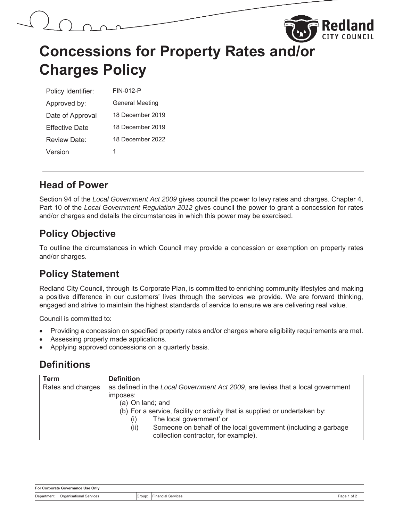## **Concessions for Property Rates and/or Charges Policy**

| Policy Identifier:    | FIN-012-P              |
|-----------------------|------------------------|
| Approved by:          | <b>General Meeting</b> |
| Date of Approval      | 18 December 2019       |
| <b>Effective Date</b> | 18 December 2019       |
| Review Date:          | 18 December 2022       |
| Version               | 1                      |

#### **Head of Power**

Section 94 of the *Local Government Act 2009* gives council the power to levy rates and charges. Chapter 4, Part 10 of the *Local Government Regulation 2012* gives council the power to grant a concession for rates and/or charges and details the circumstances in which this power may be exercised.

#### **Policy Objective**

To outline the circumstances in which Council may provide a concession or exemption on property rates and/or charges.

### **Policy Statement**

Redland City Council, through its Corporate Plan, is committed to enriching community lifestyles and making a positive difference in our customers' lives through the services we provide. We are forward thinking, engaged and strive to maintain the highest standards of service to ensure we are delivering real value.

Council is committed to:

- Providing a concession on specified property rates and/or charges where eligibility requirements are met.
- Assessing properly made applications.
- Applying approved concessions on a quarterly basis.

#### **Definitions**

| <b>Term</b>       | <b>Definition</b>                                                               |  |  |  |
|-------------------|---------------------------------------------------------------------------------|--|--|--|
| Rates and charges | as defined in the Local Government Act 2009, are levies that a local government |  |  |  |
|                   | imposes:                                                                        |  |  |  |
|                   | (a) On land; and                                                                |  |  |  |
|                   | (b) For a service, facility or activity that is supplied or undertaken by:      |  |  |  |
|                   | The local government' or<br>(1)                                                 |  |  |  |
|                   | Someone on behalf of the local government (including a garbage<br>(ii)          |  |  |  |
|                   | collection contractor, for example).                                            |  |  |  |

| For Corporate Governance Use Only |                                |        |                       |               |  |  |
|-----------------------------------|--------------------------------|--------|-----------------------|---------------|--|--|
| Department:                       | <b>Organisational Services</b> | Group: | Services<br>Financial | Page<br>'of ∡ |  |  |